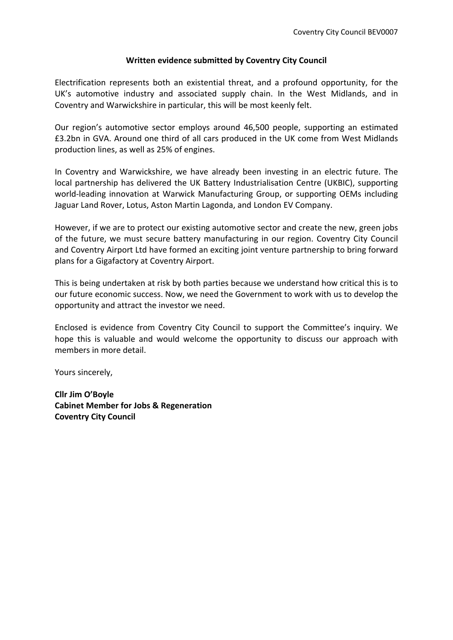#### **Written evidence submitted by Coventry City Council**

Electrification represents both an existential threat, and a profound opportunity, for the UK's automotive industry and associated supply chain. In the West Midlands, and in Coventry and Warwickshire in particular, this will be most keenly felt.

Our region's automotive sector employs around 46,500 people, supporting an estimated £3.2bn in GVA. Around one third of all cars produced in the UK come from West Midlands production lines, as well as 25% of engines.

In Coventry and Warwickshire, we have already been investing in an electric future. The local partnership has delivered the UK Battery Industrialisation Centre (UKBIC), supporting world-leading innovation at Warwick Manufacturing Group, or supporting OEMs including Jaguar Land Rover, Lotus, Aston Martin Lagonda, and London EV Company.

However, if we are to protect our existing automotive sector and create the new, green jobs of the future, we must secure battery manufacturing in our region. Coventry City Council and Coventry Airport Ltd have formed an exciting joint venture partnership to bring forward plans for a Gigafactory at Coventry Airport.

This is being undertaken at risk by both parties because we understand how critical this is to our future economic success. Now, we need the Government to work with us to develop the opportunity and attract the investor we need.

Enclosed is evidence from Coventry City Council to support the Committee's inquiry. We hope this is valuable and would welcome the opportunity to discuss our approach with members in more detail.

Yours sincerely,

**Cllr Jim O'Boyle Cabinet Member for Jobs & Regeneration Coventry City Council**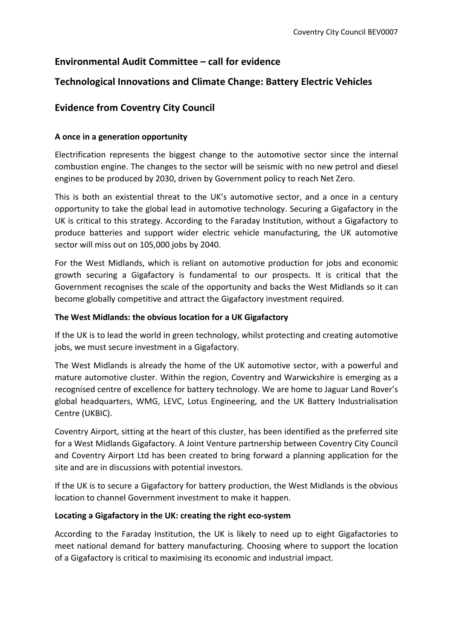# **Environmental Audit Committee – call for evidence**

# **Technological Innovations and Climate Change: Battery Electric Vehicles**

# **Evidence from Coventry City Council**

# **A once in a generation opportunity**

Electrification represents the biggest change to the automotive sector since the internal combustion engine. The changes to the sector will be seismic with no new petrol and diesel engines to be produced by 2030, driven by Government policy to reach Net Zero.

This is both an existential threat to the UK's automotive sector, and a once in a century opportunity to take the global lead in automotive technology. Securing a Gigafactory in the UK is critical to this strategy. According to the Faraday Institution, without a Gigafactory to produce batteries and support wider electric vehicle manufacturing, the UK automotive sector will miss out on 105,000 jobs by 2040.

For the West Midlands, which is reliant on automotive production for jobs and economic growth securing a Gigafactory is fundamental to our prospects. It is critical that the Government recognises the scale of the opportunity and backs the West Midlands so it can become globally competitive and attract the Gigafactory investment required.

# **The West Midlands: the obvious location for a UK Gigafactory**

If the UK is to lead the world in green technology, whilst protecting and creating automotive jobs, we must secure investment in a Gigafactory.

The West Midlands is already the home of the UK automotive sector, with a powerful and mature automotive cluster. Within the region, Coventry and Warwickshire is emerging as a recognised centre of excellence for battery technology. We are home to Jaguar Land Rover's global headquarters, WMG, LEVC, Lotus Engineering, and the UK Battery Industrialisation Centre (UKBIC).

Coventry Airport, sitting at the heart of this cluster, has been identified as the preferred site for a West Midlands Gigafactory. A Joint Venture partnership between Coventry City Council and Coventry Airport Ltd has been created to bring forward a planning application for the site and are in discussions with potential investors.

If the UK is to secure a Gigafactory for battery production, the West Midlands is the obvious location to channel Government investment to make it happen.

# **Locating a Gigafactory in the UK: creating the right eco-system**

According to the Faraday Institution, the UK is likely to need up to eight Gigafactories to meet national demand for battery manufacturing. Choosing where to support the location of a Gigafactory is critical to maximising its economic and industrial impact.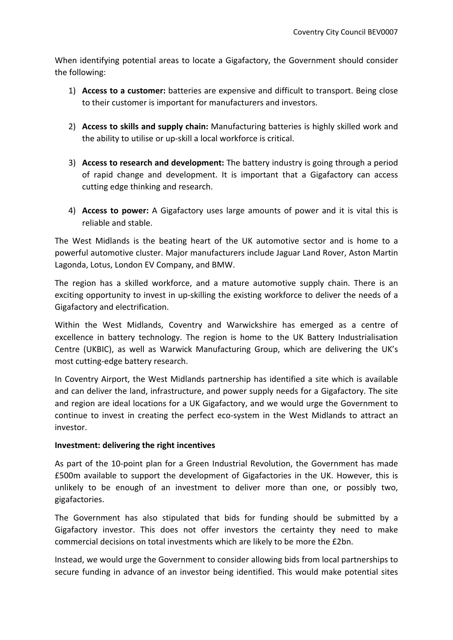When identifying potential areas to locate a Gigafactory, the Government should consider the following:

- 1) **Access to a customer:** batteries are expensive and difficult to transport. Being close to their customer is important for manufacturers and investors.
- 2) **Access to skills and supply chain:** Manufacturing batteries is highly skilled work and the ability to utilise or up-skill a local workforce is critical.
- 3) **Access to research and development:** The battery industry is going through a period of rapid change and development. It is important that a Gigafactory can access cutting edge thinking and research.
- 4) **Access to power:** A Gigafactory uses large amounts of power and it is vital this is reliable and stable.

The West Midlands is the beating heart of the UK automotive sector and is home to a powerful automotive cluster. Major manufacturers include Jaguar Land Rover, Aston Martin Lagonda, Lotus, London EV Company, and BMW.

The region has a skilled workforce, and a mature automotive supply chain. There is an exciting opportunity to invest in up-skilling the existing workforce to deliver the needs of a Gigafactory and electrification.

Within the West Midlands, Coventry and Warwickshire has emerged as a centre of excellence in battery technology. The region is home to the UK Battery Industrialisation Centre (UKBIC), as well as Warwick Manufacturing Group, which are delivering the UK's most cutting-edge battery research.

In Coventry Airport, the West Midlands partnership has identified a site which is available and can deliver the land, infrastructure, and power supply needs for a Gigafactory. The site and region are ideal locations for a UK Gigafactory, and we would urge the Government to continue to invest in creating the perfect eco-system in the West Midlands to attract an investor.

# **Investment: delivering the right incentives**

As part of the 10-point plan for a Green Industrial Revolution, the Government has made £500m available to support the development of Gigafactories in the UK. However, this is unlikely to be enough of an investment to deliver more than one, or possibly two, gigafactories.

The Government has also stipulated that bids for funding should be submitted by a Gigafactory investor. This does not offer investors the certainty they need to make commercial decisions on total investments which are likely to be more the £2bn.

Instead, we would urge the Government to consider allowing bids from local partnerships to secure funding in advance of an investor being identified. This would make potential sites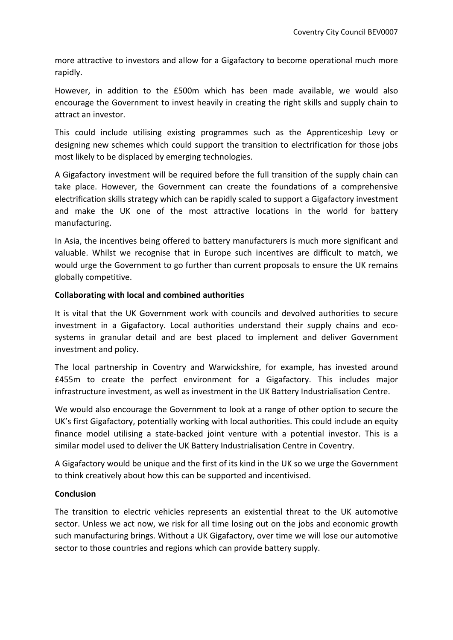more attractive to investors and allow for a Gigafactory to become operational much more rapidly.

However, in addition to the £500m which has been made available, we would also encourage the Government to invest heavily in creating the right skills and supply chain to attract an investor.

This could include utilising existing programmes such as the Apprenticeship Levy or designing new schemes which could support the transition to electrification for those jobs most likely to be displaced by emerging technologies.

A Gigafactory investment will be required before the full transition of the supply chain can take place. However, the Government can create the foundations of a comprehensive electrification skills strategy which can be rapidly scaled to support a Gigafactory investment and make the UK one of the most attractive locations in the world for battery manufacturing.

In Asia, the incentives being offered to battery manufacturers is much more significant and valuable. Whilst we recognise that in Europe such incentives are difficult to match, we would urge the Government to go further than current proposals to ensure the UK remains globally competitive.

# **Collaborating with local and combined authorities**

It is vital that the UK Government work with councils and devolved authorities to secure investment in a Gigafactory. Local authorities understand their supply chains and ecosystems in granular detail and are best placed to implement and deliver Government investment and policy.

The local partnership in Coventry and Warwickshire, for example, has invested around £455m to create the perfect environment for a Gigafactory. This includes major infrastructure investment, as well as investment in the UK Battery Industrialisation Centre.

We would also encourage the Government to look at a range of other option to secure the UK's first Gigafactory, potentially working with local authorities. This could include an equity finance model utilising a state-backed joint venture with a potential investor. This is a similar model used to deliver the UK Battery Industrialisation Centre in Coventry.

A Gigafactory would be unique and the first of its kind in the UK so we urge the Government to think creatively about how this can be supported and incentivised.

# **Conclusion**

The transition to electric vehicles represents an existential threat to the UK automotive sector. Unless we act now, we risk for all time losing out on the jobs and economic growth such manufacturing brings. Without a UK Gigafactory, over time we will lose our automotive sector to those countries and regions which can provide battery supply.